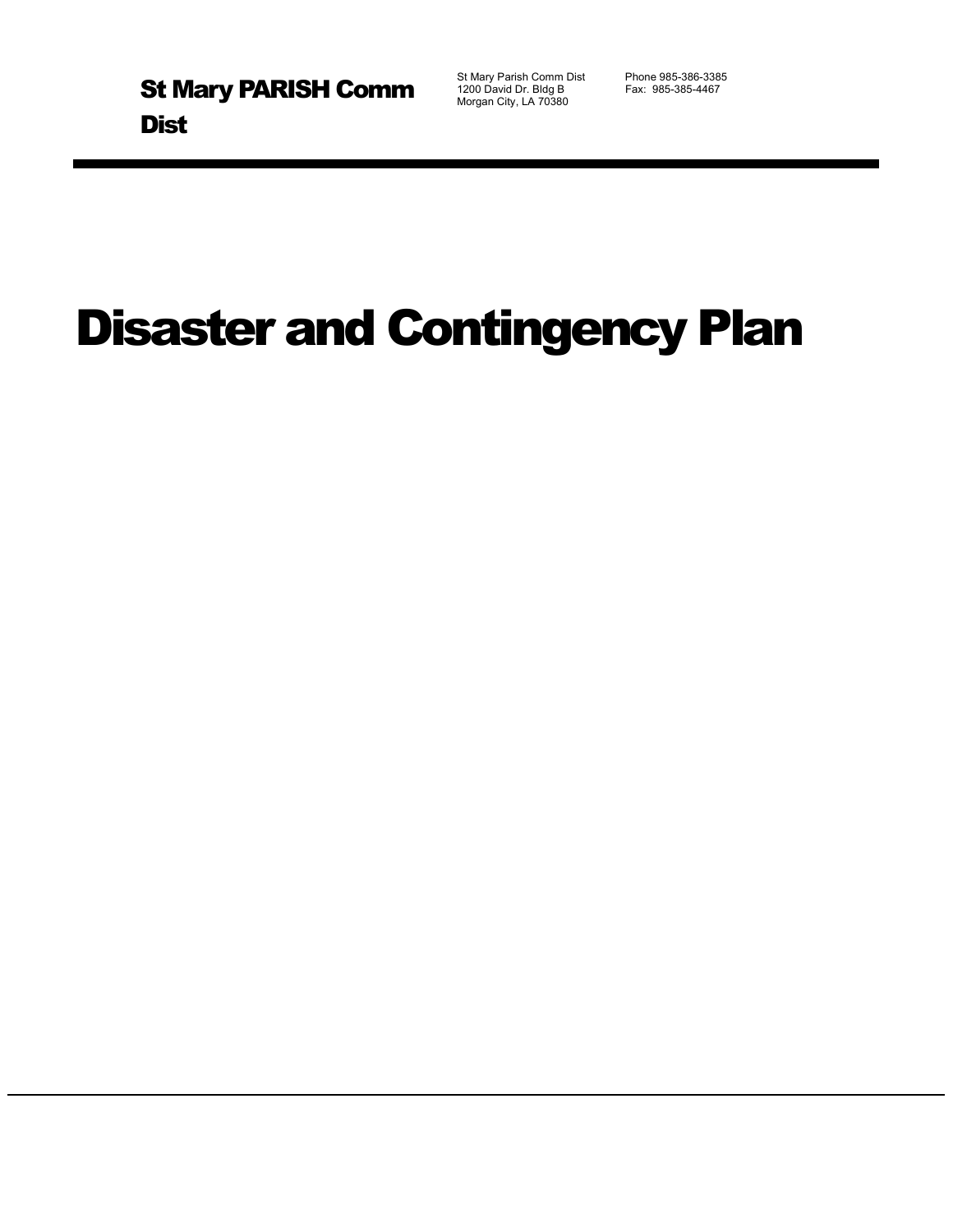St Mary Parish Comm Dist Phone 985-386-3385<br>1200 David Dr. Bldg B Fax: 985-385-4467 1200 David Dr. Bldg B Morgan City, LA 70380

# Disaster and Contingency Plan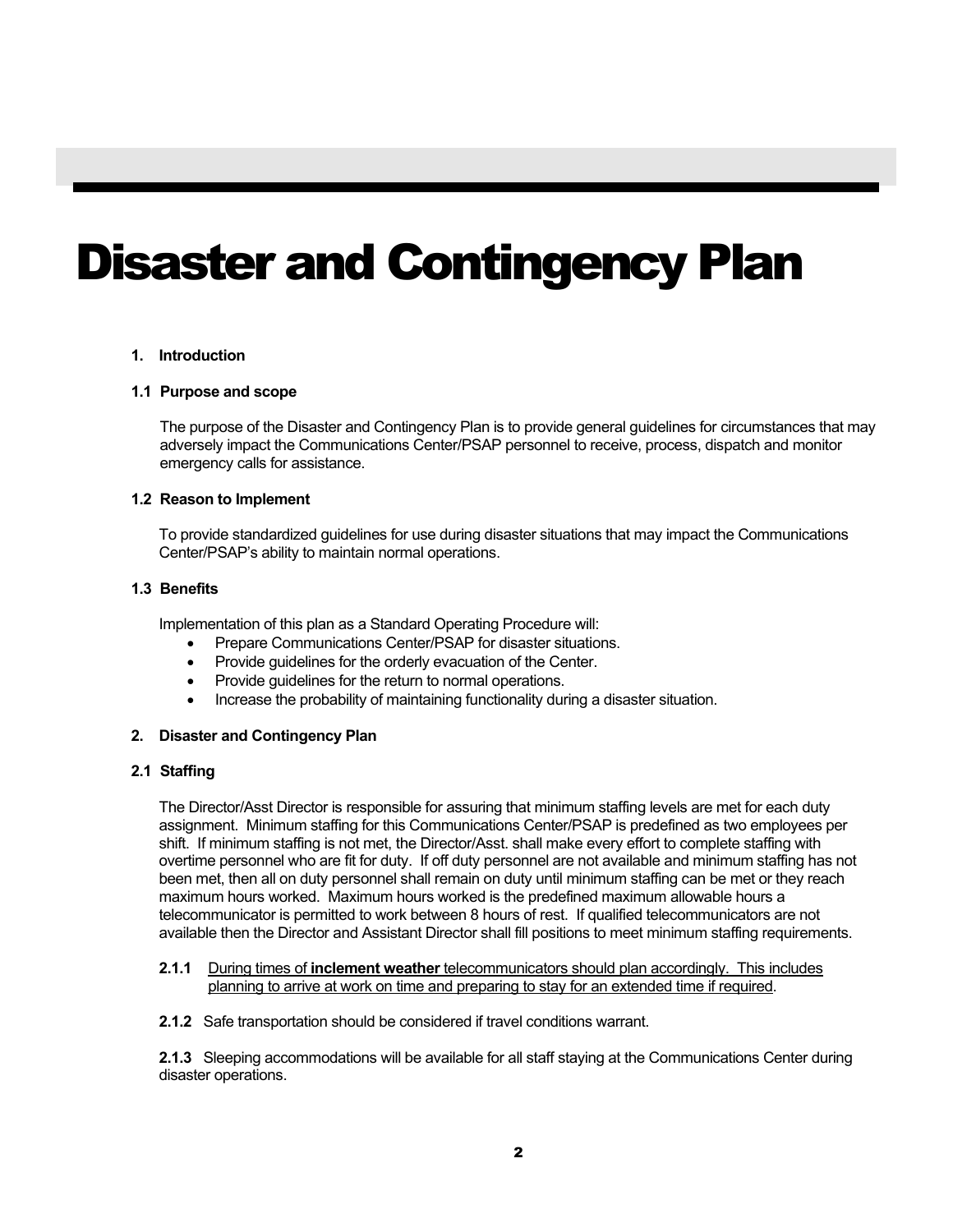## Disaster and Contingency Plan

#### **1. Introduction**

#### **1.1 Purpose and scope**

The purpose of the Disaster and Contingency Plan is to provide general guidelines for circumstances that may adversely impact the Communications Center/PSAP personnel to receive, process, dispatch and monitor emergency calls for assistance.

#### **1.2 Reason to Implement**

To provide standardized guidelines for use during disaster situations that may impact the Communications Center/PSAP's ability to maintain normal operations.

#### **1.3 Benefits**

Implementation of this plan as a Standard Operating Procedure will:

- Prepare Communications Center/PSAP for disaster situations.
- Provide guidelines for the orderly evacuation of the Center.
- Provide guidelines for the return to normal operations.
- Increase the probability of maintaining functionality during a disaster situation.

#### **2. Disaster and Contingency Plan**

#### **2.1 Staffing**

The Director/Asst Director is responsible for assuring that minimum staffing levels are met for each duty assignment. Minimum staffing for this Communications Center/PSAP is predefined as two employees per shift. If minimum staffing is not met, the Director/Asst. shall make every effort to complete staffing with overtime personnel who are fit for duty. If off duty personnel are not available and minimum staffing has not been met, then all on duty personnel shall remain on duty until minimum staffing can be met or they reach maximum hours worked. Maximum hours worked is the predefined maximum allowable hours a telecommunicator is permitted to work between 8 hours of rest. If qualified telecommunicators are not available then the Director and Assistant Director shall fill positions to meet minimum staffing requirements.

#### **2.1.1** During times of **inclement weather** telecommunicators should plan accordingly. This includes planning to arrive at work on time and preparing to stay for an extended time if required.

**2.1.2** Safe transportation should be considered if travel conditions warrant.

**2.1.3** Sleeping accommodations will be available for all staff staying at the Communications Center during disaster operations.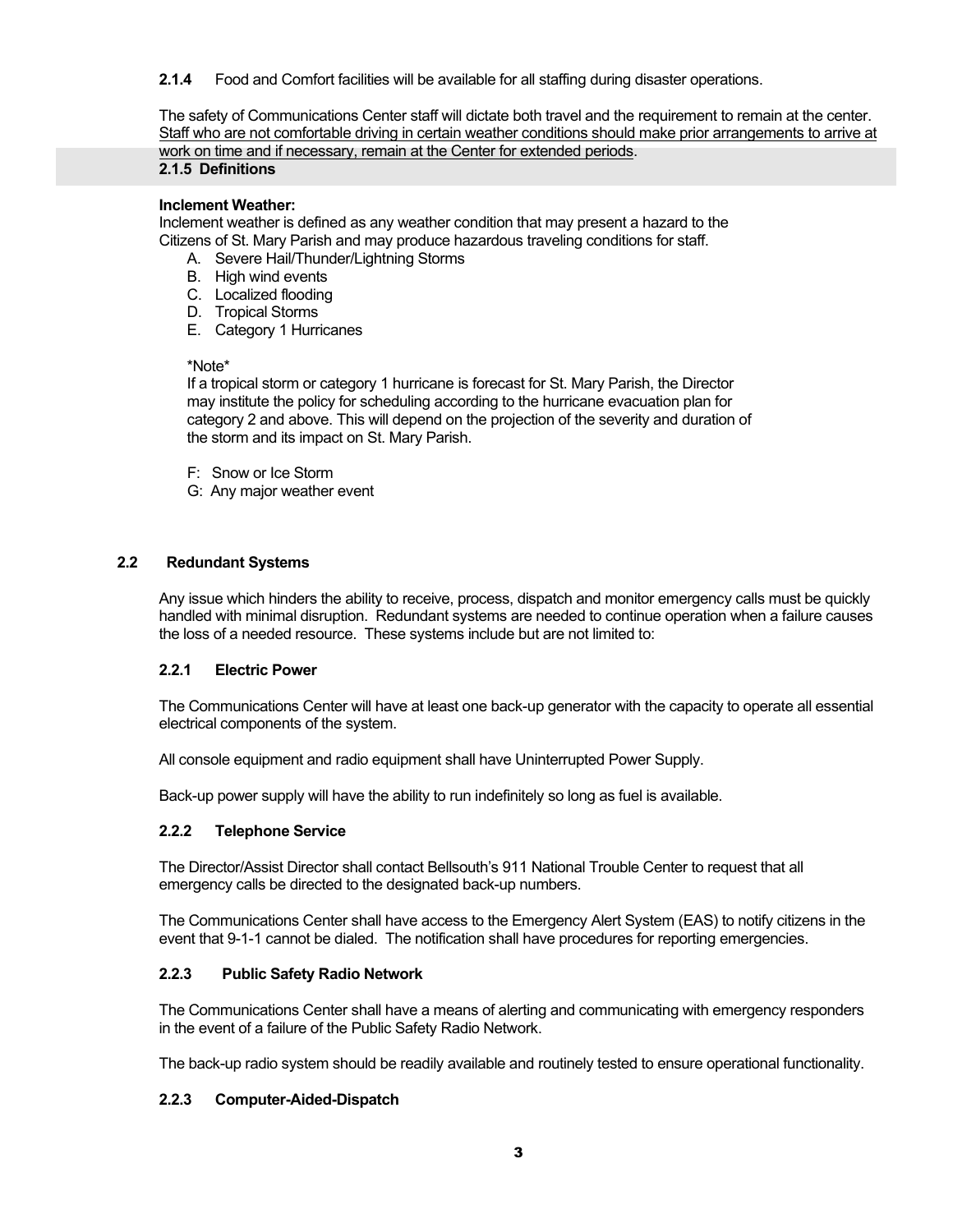**2.1.4** Food and Comfort facilities will be available for all staffing during disaster operations.

The safety of Communications Center staff will dictate both travel and the requirement to remain at the center. Staff who are not comfortable driving in certain weather conditions should make prior arrangements to arrive at work on time and if necessary, remain at the Center for extended periods.

#### **2.1.5 Definitions**

#### **Inclement Weather:**

Inclement weather is defined as any weather condition that may present a hazard to the Citizens of St. Mary Parish and may produce hazardous traveling conditions for staff.

- A. Severe Hail/Thunder/Lightning Storms
- B. High wind events
- C. Localized flooding
- D. Tropical Storms
- E. Category 1 Hurricanes

#### \*Note\*

If a tropical storm or category 1 hurricane is forecast for St. Mary Parish, the Director may institute the policy for scheduling according to the hurricane evacuation plan for category 2 and above. This will depend on the projection of the severity and duration of the storm and its impact on St. Mary Parish.

- F: Snow or Ice Storm
- G: Any major weather event

#### **2.2 Redundant Systems**

Any issue which hinders the ability to receive, process, dispatch and monitor emergency calls must be quickly handled with minimal disruption. Redundant systems are needed to continue operation when a failure causes the loss of a needed resource. These systems include but are not limited to:

#### **2.2.1 Electric Power**

The Communications Center will have at least one back-up generator with the capacity to operate all essential electrical components of the system.

All console equipment and radio equipment shall have Uninterrupted Power Supply.

Back-up power supply will have the ability to run indefinitely so long as fuel is available.

#### **2.2.2 Telephone Service**

The Director/Assist Director shall contact Bellsouth's 911 National Trouble Center to request that all emergency calls be directed to the designated back-up numbers.

The Communications Center shall have access to the Emergency Alert System (EAS) to notify citizens in the event that 9-1-1 cannot be dialed. The notification shall have procedures for reporting emergencies.

#### **2.2.3 Public Safety Radio Network**

The Communications Center shall have a means of alerting and communicating with emergency responders in the event of a failure of the Public Safety Radio Network.

The back-up radio system should be readily available and routinely tested to ensure operational functionality.

#### **2.2.3 Computer-Aided-Dispatch**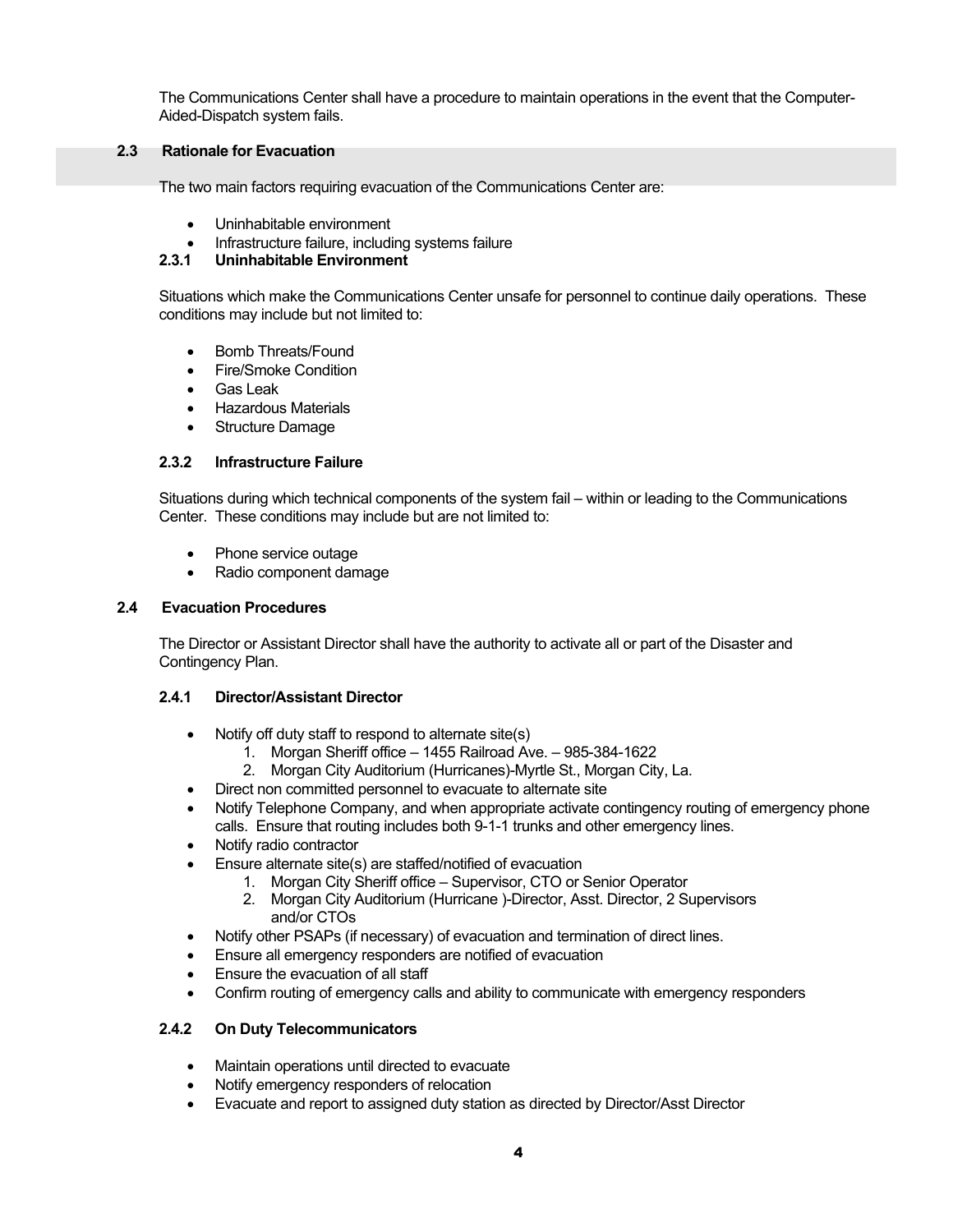The Communications Center shall have a procedure to maintain operations in the event that the Computer-Aided-Dispatch system fails.

#### **2.3 Rationale for Evacuation**

The two main factors requiring evacuation of the Communications Center are:

- Uninhabitable environment
- Infrastructure failure, including systems failure<br>
2.3.1 Uninhabitable Environment

#### **2.3.1 Uninhabitable Environment**

Situations which make the Communications Center unsafe for personnel to continue daily operations. These conditions may include but not limited to:

- Bomb Threats/Found
- Fire/Smoke Condition
- Gas Leak
- Hazardous Materials
- **Structure Damage**

#### **2.3.2 Infrastructure Failure**

Situations during which technical components of the system fail – within or leading to the Communications Center. These conditions may include but are not limited to:

- Phone service outage
- Radio component damage

#### **2.4 Evacuation Procedures**

The Director or Assistant Director shall have the authority to activate all or part of the Disaster and Contingency Plan.

#### **2.4.1 Director/Assistant Director**

- Notify off duty staff to respond to alternate site(s)
	- 1. Morgan Sheriff office 1455 Railroad Ave. 985-384-1622
	- 2. Morgan City Auditorium (Hurricanes)-Myrtle St., Morgan City, La.
- Direct non committed personnel to evacuate to alternate site
- Notify Telephone Company, and when appropriate activate contingency routing of emergency phone calls. Ensure that routing includes both 9-1-1 trunks and other emergency lines.
- Notify radio contractor
- Ensure alternate site(s) are staffed/notified of evacuation
	- 1. Morgan City Sheriff office Supervisor, CTO or Senior Operator
	- 2. Morgan City Auditorium (Hurricane )-Director, Asst. Director, 2 Supervisors and/or CTOs
- Notify other PSAPs (if necessary) of evacuation and termination of direct lines.
- Ensure all emergency responders are notified of evacuation
- Ensure the evacuation of all staff
- Confirm routing of emergency calls and ability to communicate with emergency responders

#### **2.4.2 On Duty Telecommunicators**

- Maintain operations until directed to evacuate
- Notify emergency responders of relocation
- Evacuate and report to assigned duty station as directed by Director/Asst Director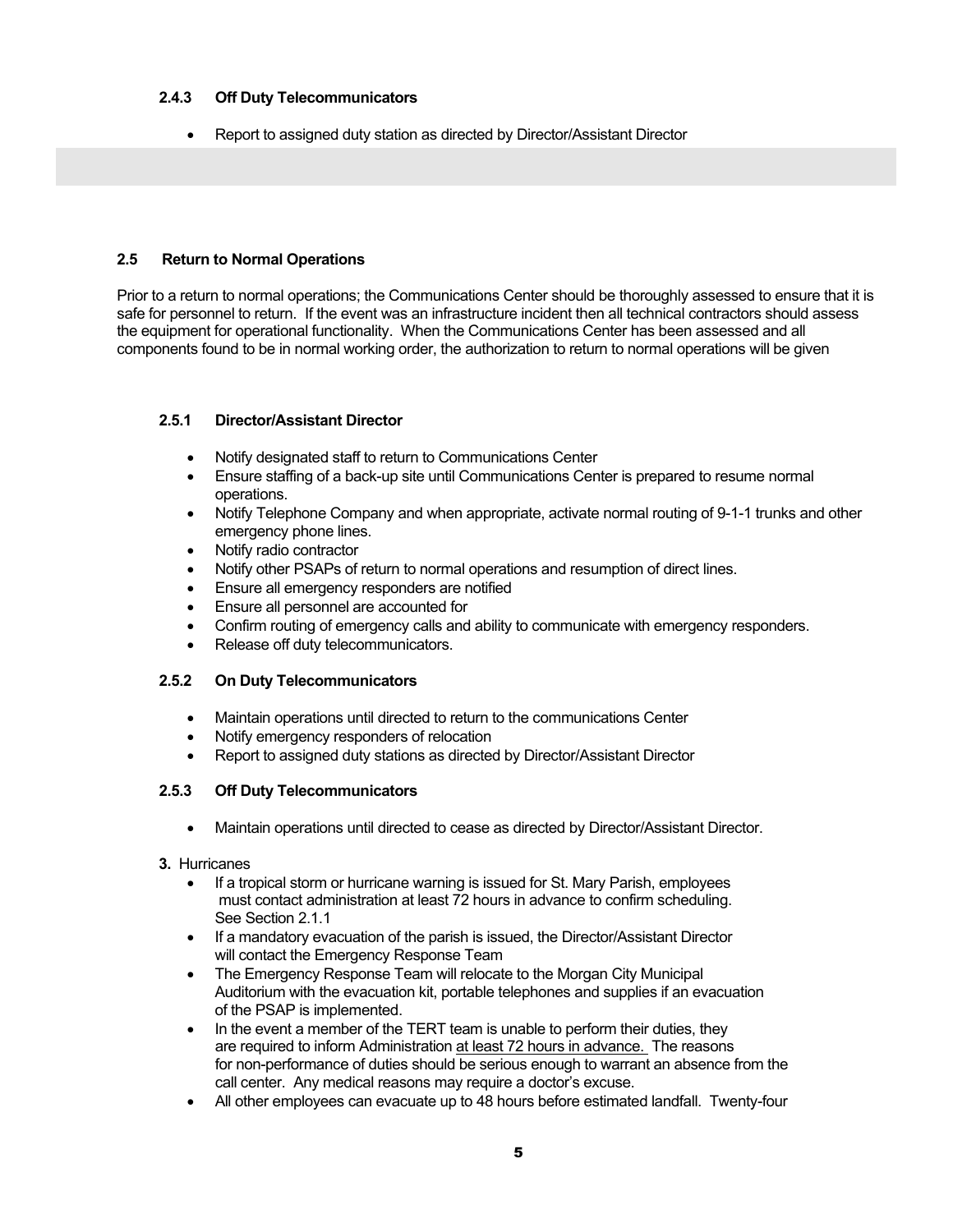#### **2.4.3 Off Duty Telecommunicators**

• Report to assigned duty station as directed by Director/Assistant Director

#### **2.5 Return to Normal Operations**

Prior to a return to normal operations; the Communications Center should be thoroughly assessed to ensure that it is safe for personnel to return. If the event was an infrastructure incident then all technical contractors should assess the equipment for operational functionality. When the Communications Center has been assessed and all components found to be in normal working order, the authorization to return to normal operations will be given

#### **2.5.1 Director/Assistant Director**

- Notify designated staff to return to Communications Center
- Ensure staffing of a back-up site until Communications Center is prepared to resume normal operations.
- Notify Telephone Company and when appropriate, activate normal routing of 9-1-1 trunks and other emergency phone lines.
- Notify radio contractor
- Notify other PSAPs of return to normal operations and resumption of direct lines.
- Ensure all emergency responders are notified
- Ensure all personnel are accounted for
- Confirm routing of emergency calls and ability to communicate with emergency responders.
- Release off duty telecommunicators.

#### **2.5.2 On Duty Telecommunicators**

- Maintain operations until directed to return to the communications Center
- Notify emergency responders of relocation
- Report to assigned duty stations as directed by Director/Assistant Director

#### **2.5.3 Off Duty Telecommunicators**

- Maintain operations until directed to cease as directed by Director/Assistant Director.
- **3.** Hurricanes
	- If a tropical storm or hurricane warning is issued for St. Mary Parish, employees must contact administration at least 72 hours in advance to confirm scheduling. See Section 2.1.1
	- If a mandatory evacuation of the parish is issued, the Director/Assistant Director will contact the Emergency Response Team
	- The Emergency Response Team will relocate to the Morgan City Municipal Auditorium with the evacuation kit, portable telephones and supplies if an evacuation of the PSAP is implemented.
	- In the event a member of the TERT team is unable to perform their duties, they are required to inform Administration at least 72 hours in advance. The reasons for non-performance of duties should be serious enough to warrant an absence from the call center. Any medical reasons may require a doctor's excuse.
	- All other employees can evacuate up to 48 hours before estimated landfall. Twenty-four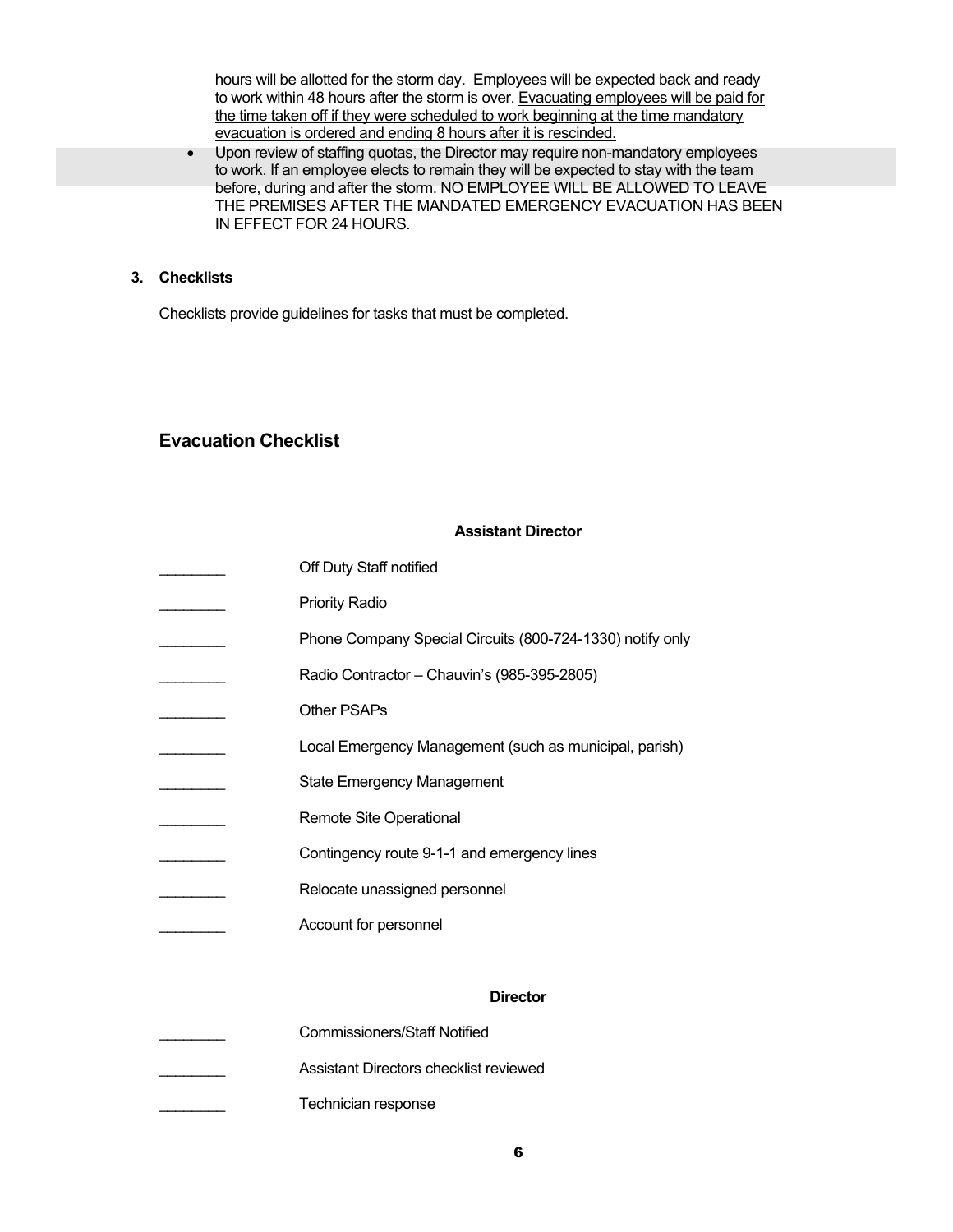hours will be allotted for the storm day. Employees will be expected back and ready to work within 48 hours after the storm is over. Evacuating employees will be paid for the time taken off if they were scheduled to work beginning at the time mandatory evacuation is ordered and ending 8 hours after it is rescinded.

• Upon review of staffing quotas, the Director may require non-mandatory employees to work. If an employee elects to remain they will be expected to stay with the team before, during and after the storm. NO EMPLOYEE WILL BE ALLOWED TO LEAVE THE PREMISES AFTER THE MANDATED EMERGENCY EVACUATION HAS BEEN IN EFFECT FOR 24 HOURS.

#### **3. Checklists**

Checklists provide guidelines for tasks that must be completed.

### **Evacuation Checklist**

#### **Assistant Director**

| Off Duty Staff notified                                   |
|-----------------------------------------------------------|
| <b>Priority Radio</b>                                     |
| Phone Company Special Circuits (800-724-1330) notify only |
| Radio Contractor - Chauvin's (985-395-2805)               |
| Other PSAPs                                               |
| Local Emergency Management (such as municipal, parish)    |
| <b>State Emergency Management</b>                         |
| Remote Site Operational                                   |
| Contingency route 9-1-1 and emergency lines               |
| Relocate unassigned personnel                             |
| Account for personnel                                     |
|                                                           |
| <b>Director</b>                                           |
| <b>Commissioners/Staff Notified</b>                       |
| Assistant Directors checklist reviewed                    |

Technician response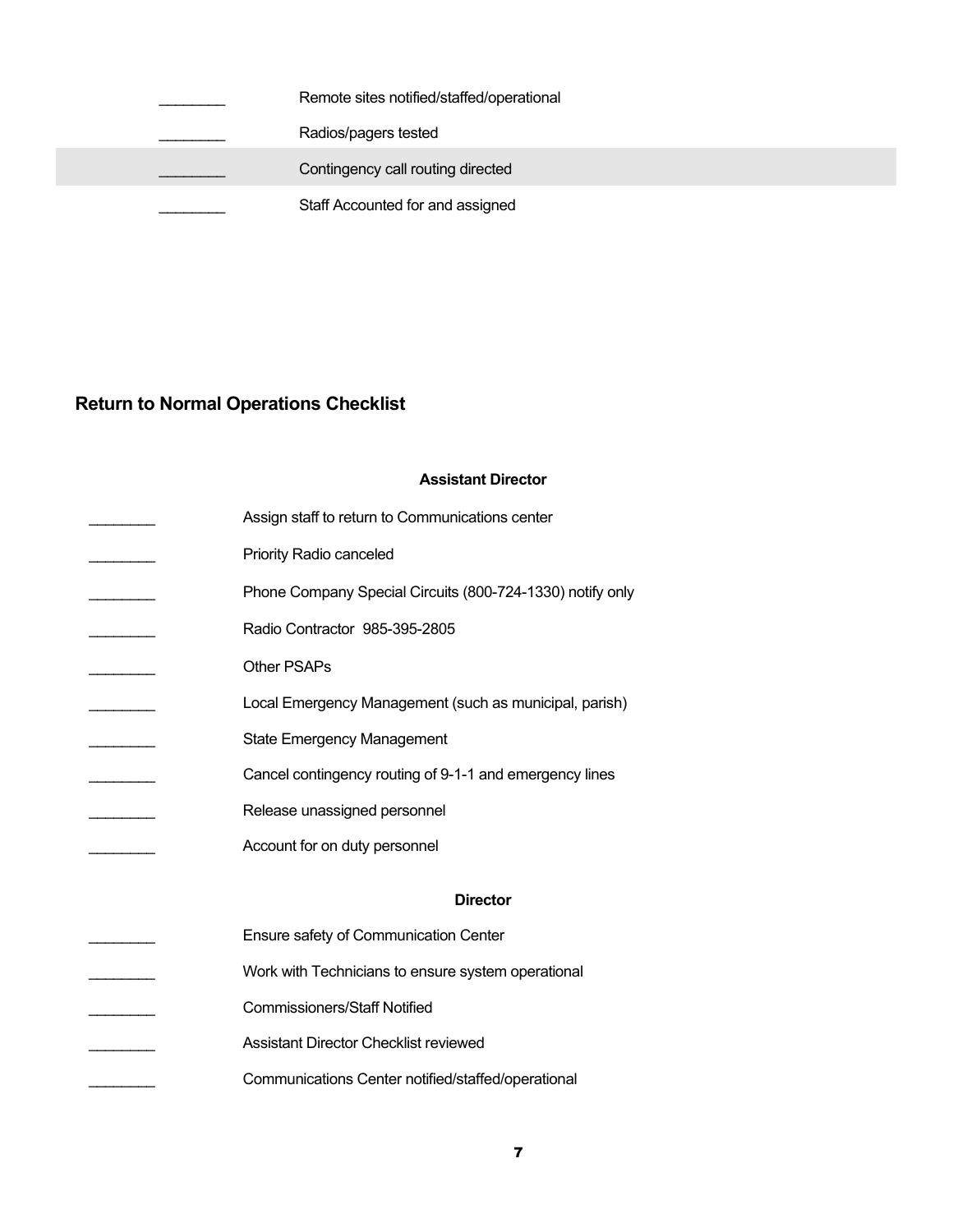|  | Remote sites notified/staffed/operational |
|--|-------------------------------------------|
|  | Radios/pagers tested                      |
|  | Contingency call routing directed         |
|  | Staff Accounted for and assigned          |
|  |                                           |

### **Return to Normal Operations Checklist**

#### **Assistant Director**

| Assign staff to return to Communications center           |
|-----------------------------------------------------------|
| <b>Priority Radio canceled</b>                            |
| Phone Company Special Circuits (800-724-1330) notify only |
| Radio Contractor 985-395-2805                             |
| Other PSAPs                                               |
| Local Emergency Management (such as municipal, parish)    |
| <b>State Emergency Management</b>                         |
| Cancel contingency routing of 9-1-1 and emergency lines   |
|                                                           |
| Release unassigned personnel                              |
| Account for on duty personnel                             |
| <b>Director</b>                                           |
| Ensure safety of Communication Center                     |
| Work with Technicians to ensure system operational        |
| <b>Commissioners/Staff Notified</b>                       |
| <b>Assistant Director Checklist reviewed</b>              |